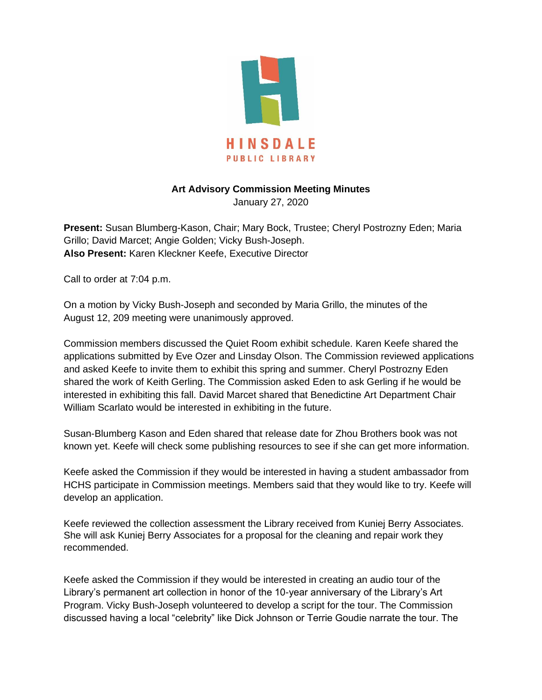

## **Art Advisory Commission Meeting Minutes**

January 27, 2020

**Present:** Susan Blumberg-Kason, Chair; Mary Bock, Trustee; Cheryl Postrozny Eden; Maria Grillo; David Marcet; Angie Golden; Vicky Bush-Joseph. **Also Present:** Karen Kleckner Keefe, Executive Director

Call to order at 7:04 p.m.

On a motion by Vicky Bush-Joseph and seconded by Maria Grillo, the minutes of the August 12, 209 meeting were unanimously approved.

Commission members discussed the Quiet Room exhibit schedule. Karen Keefe shared the applications submitted by Eve Ozer and Linsday Olson. The Commission reviewed applications and asked Keefe to invite them to exhibit this spring and summer. Cheryl Postrozny Eden shared the work of Keith Gerling. The Commission asked Eden to ask Gerling if he would be interested in exhibiting this fall. David Marcet shared that Benedictine Art Department Chair William Scarlato would be interested in exhibiting in the future.

Susan-Blumberg Kason and Eden shared that release date for Zhou Brothers book was not known yet. Keefe will check some publishing resources to see if she can get more information.

Keefe asked the Commission if they would be interested in having a student ambassador from HCHS participate in Commission meetings. Members said that they would like to try. Keefe will develop an application.

Keefe reviewed the collection assessment the Library received from Kuniej Berry Associates. She will ask Kuniej Berry Associates for a proposal for the cleaning and repair work they recommended.

Keefe asked the Commission if they would be interested in creating an audio tour of the Library's permanent art collection in honor of the 10-year anniversary of the Library's Art Program. Vicky Bush-Joseph volunteered to develop a script for the tour. The Commission discussed having a local "celebrity" like Dick Johnson or Terrie Goudie narrate the tour. The